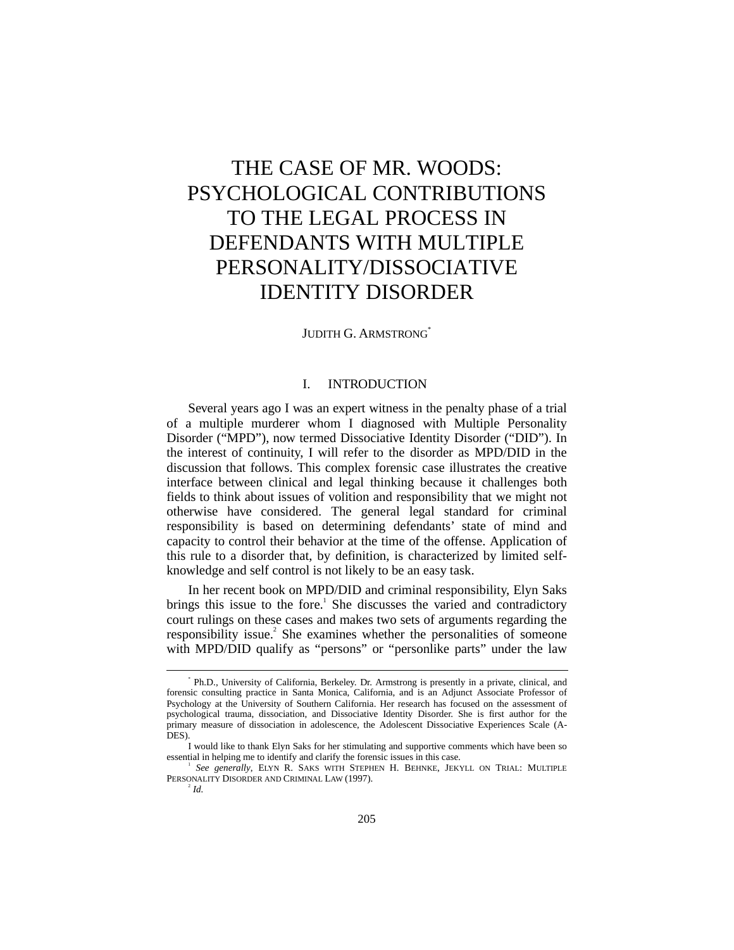# THE CASE OF MR. WOODS: PSYCHOLOGICAL CONTRIBUTIONS TO THE LEGAL PROCESS IN DEFENDANTS WITH MULTIPLE PERSONALITY/DISSOCIATIVE IDENTITY DISORDER

# JUDITH G. ARMSTRONG\*

# I. INTRODUCTION

Several years ago I was an expert witness in the penalty phase of a trial of a multiple murderer whom I diagnosed with Multiple Personality Disorder ("MPD"), now termed Dissociative Identity Disorder ("DID"). In the interest of continuity, I will refer to the disorder as MPD/DID in the discussion that follows. This complex forensic case illustrates the creative interface between clinical and legal thinking because it challenges both fields to think about issues of volition and responsibility that we might not otherwise have considered. The general legal standard for criminal responsibility is based on determining defendants' state of mind and capacity to control their behavior at the time of the offense. Application of this rule to a disorder that, by definition, is characterized by limited selfknowledge and self control is not likely to be an easy task.

In her recent book on MPD/DID and criminal responsibility, Elyn Saks brings this issue to the fore.<sup>1</sup> She discusses the varied and contradictory court rulings on these cases and makes two sets of arguments regarding the responsibility issue.<sup>2</sup> She examines whether the personalities of someone with MPD/DID qualify as "persons" or "personlike parts" under the law

 $\overline{\phantom{a}}$  Ph.D., University of California, Berkeley. Dr. Armstrong is presently in a private, clinical, and forensic consulting practice in Santa Monica, California, and is an Adjunct Associate Professor of Psychology at the University of Southern California. Her research has focused on the assessment of psychological trauma, dissociation, and Dissociative Identity Disorder. She is first author for the primary measure of dissociation in adolescence, the Adolescent Dissociative Experiences Scale (A-DES).

I would like to thank Elyn Saks for her stimulating and supportive comments which have been so essential in helping me to identify and clarify the forensic issues in this case.

*See generally*, ELYN R. SAKS WITH STEPHEN H. BEHNKE, JEKYLL ON TRIAL: MULTIPLE PERSONALITY DISORDER AND CRIMINAL LAW (1997).

 $\mu^2$  *Id.*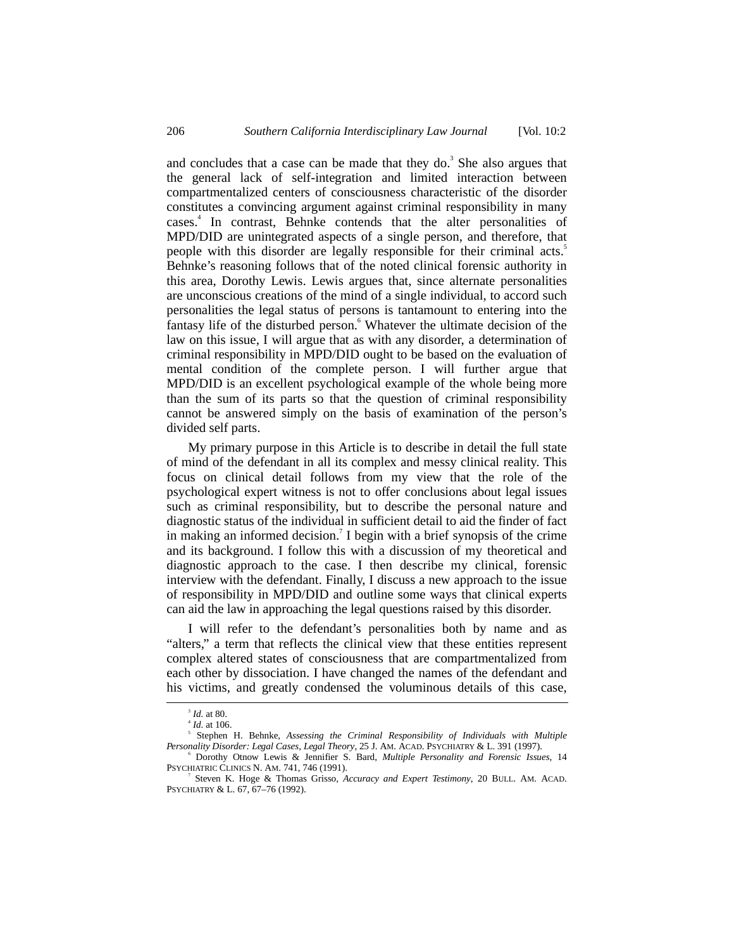and concludes that a case can be made that they do.<sup>3</sup> She also argues that the general lack of self-integration and limited interaction between compartmentalized centers of consciousness characteristic of the disorder constitutes a convincing argument against criminal responsibility in many cases.<sup>4</sup> In contrast, Behnke contends that the alter personalities of MPD/DID are unintegrated aspects of a single person, and therefore, that people with this disorder are legally responsible for their criminal acts.<sup>5</sup> Behnke's reasoning follows that of the noted clinical forensic authority in this area, Dorothy Lewis. Lewis argues that, since alternate personalities are unconscious creations of the mind of a single individual, to accord such personalities the legal status of persons is tantamount to entering into the fantasy life of the disturbed person.<sup>6</sup> Whatever the ultimate decision of the law on this issue, I will argue that as with any disorder, a determination of criminal responsibility in MPD/DID ought to be based on the evaluation of mental condition of the complete person. I will further argue that MPD/DID is an excellent psychological example of the whole being more than the sum of its parts so that the question of criminal responsibility cannot be answered simply on the basis of examination of the person's divided self parts.

My primary purpose in this Article is to describe in detail the full state of mind of the defendant in all its complex and messy clinical reality. This focus on clinical detail follows from my view that the role of the psychological expert witness is not to offer conclusions about legal issues such as criminal responsibility, but to describe the personal nature and diagnostic status of the individual in sufficient detail to aid the finder of fact in making an informed decision.<sup>7</sup> I begin with a brief synopsis of the crime and its background. I follow this with a discussion of my theoretical and diagnostic approach to the case. I then describe my clinical, forensic interview with the defendant. Finally, I discuss a new approach to the issue of responsibility in MPD/DID and outline some ways that clinical experts can aid the law in approaching the legal questions raised by this disorder.

I will refer to the defendant's personalities both by name and as "alters," a term that reflects the clinical view that these entities represent complex altered states of consciousness that are compartmentalized from each other by dissociation. I have changed the names of the defendant and his victims, and greatly condensed the voluminous details of this case,

 $\overline{\phantom{a}}$ <sup>3</sup> *Id.* at 80.

 $^{4}$  *Id.* at 106.

Stephen H. Behnke, *Assessing the Criminal Responsibility of Individuals with Multiple Personality Disorder: Legal Cases, Legal Theory*, 25 J. AM. ACAD. PSYCHIATRY & L. 391 (1997).

<sup>6</sup> Dorothy Otnow Lewis & Jennifier S. Bard, *Multiple Personality and Forensic Issues*, 14 PSYCHIATRIC CLINICS N. AM. 741, 746 (1991).

<sup>7</sup> Steven K. Hoge & Thomas Grisso, *Accuracy and Expert Testimony*, 20 BULL. AM. ACAD. PSYCHIATRY & L. 67, 67–76 (1992).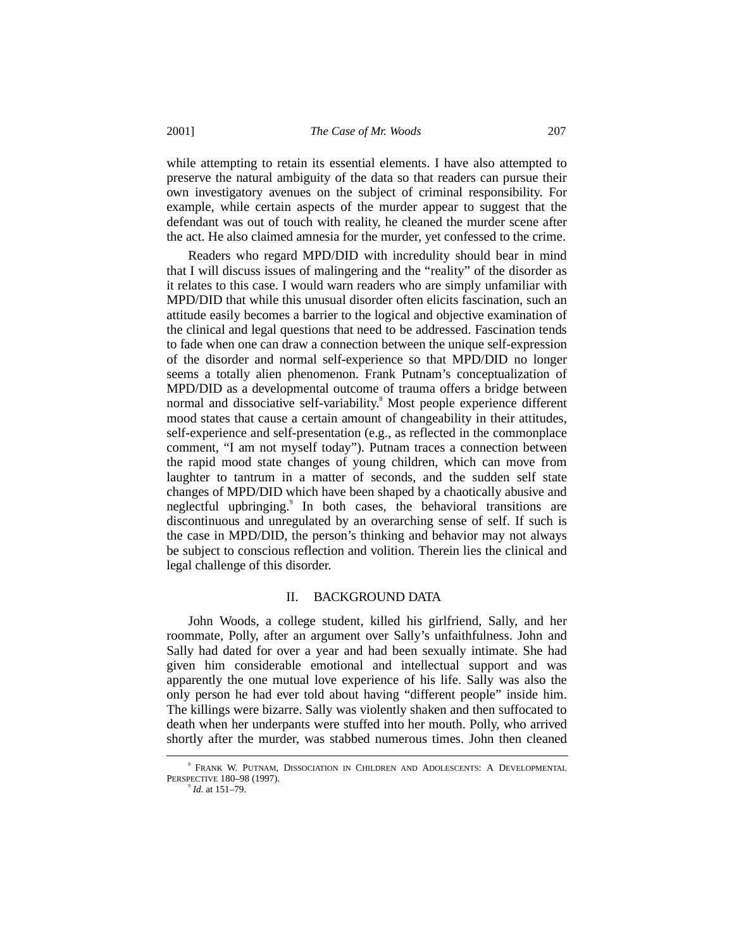while attempting to retain its essential elements. I have also attempted to preserve the natural ambiguity of the data so that readers can pursue their own investigatory avenues on the subject of criminal responsibility. For example, while certain aspects of the murder appear to suggest that the defendant was out of touch with reality, he cleaned the murder scene after the act. He also claimed amnesia for the murder, yet confessed to the crime.

Readers who regard MPD/DID with incredulity should bear in mind that I will discuss issues of malingering and the "reality" of the disorder as it relates to this case. I would warn readers who are simply unfamiliar with MPD/DID that while this unusual disorder often elicits fascination, such an attitude easily becomes a barrier to the logical and objective examination of the clinical and legal questions that need to be addressed. Fascination tends to fade when one can draw a connection between the unique self-expression of the disorder and normal self-experience so that MPD/DID no longer seems a totally alien phenomenon. Frank Putnam's conceptualization of MPD/DID as a developmental outcome of trauma offers a bridge between normal and dissociative self-variability.<sup>8</sup> Most people experience different mood states that cause a certain amount of changeability in their attitudes, self-experience and self-presentation (e.g., as reflected in the commonplace comment, "I am not myself today"). Putnam traces a connection between the rapid mood state changes of young children, which can move from laughter to tantrum in a matter of seconds, and the sudden self state changes of MPD/DID which have been shaped by a chaotically abusive and neglectful upbringing.<sup>9</sup> In both cases, the behavioral transitions are discontinuous and unregulated by an overarching sense of self. If such is the case in MPD/DID, the person's thinking and behavior may not always be subject to conscious reflection and volition. Therein lies the clinical and legal challenge of this disorder.

## II. BACKGROUND DATA

John Woods, a college student, killed his girlfriend, Sally, and her roommate, Polly, after an argument over Sally's unfaithfulness. John and Sally had dated for over a year and had been sexually intimate. She had given him considerable emotional and intellectual support and was apparently the one mutual love experience of his life. Sally was also the only person he had ever told about having "different people" inside him. The killings were bizarre. Sally was violently shaken and then suffocated to death when her underpants were stuffed into her mouth. Polly, who arrived shortly after the murder, was stabbed numerous times. John then cleaned

 $\overline{\phantom{a}}$ FRANK W. PUTNAM, DISSOCIATION IN CHILDREN AND ADOLESCENTS: A DEVELOPMENTAL PERSPECTIVE 180-98 (1997).

*Id.* at 151–79.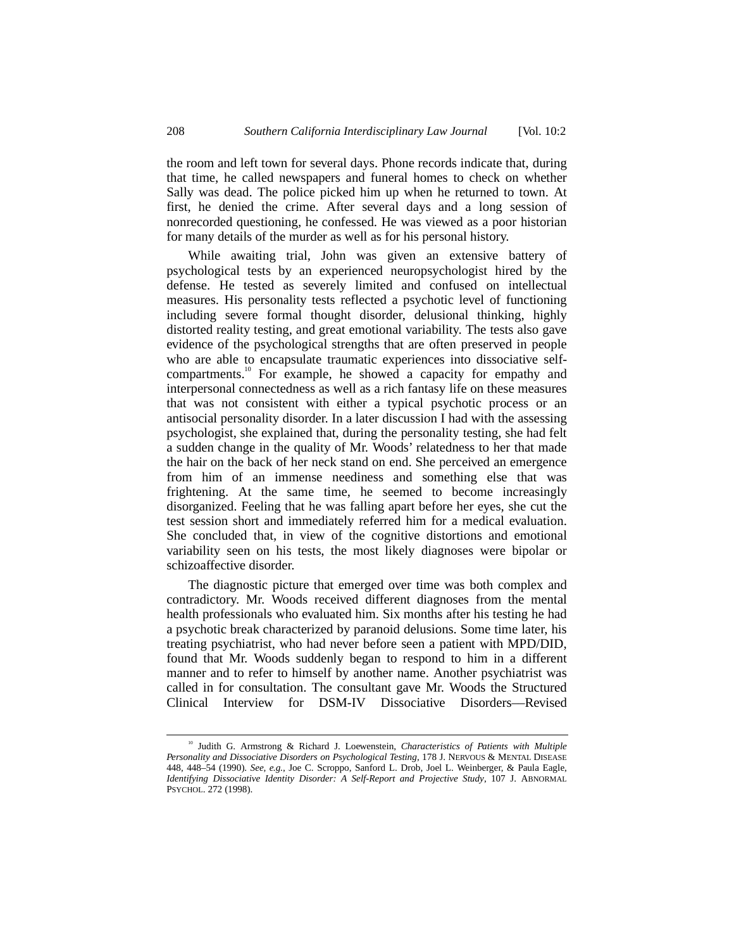the room and left town for several days. Phone records indicate that, during that time, he called newspapers and funeral homes to check on whether Sally was dead. The police picked him up when he returned to town. At first, he denied the crime. After several days and a long session of nonrecorded questioning, he confessed. He was viewed as a poor historian for many details of the murder as well as for his personal history.

While awaiting trial, John was given an extensive battery of psychological tests by an experienced neuropsychologist hired by the defense. He tested as severely limited and confused on intellectual measures. His personality tests reflected a psychotic level of functioning including severe formal thought disorder, delusional thinking, highly distorted reality testing, and great emotional variability. The tests also gave evidence of the psychological strengths that are often preserved in people who are able to encapsulate traumatic experiences into dissociative selfcompartments.<sup>10</sup> For example, he showed a capacity for empathy and interpersonal connectedness as well as a rich fantasy life on these measures that was not consistent with either a typical psychotic process or an antisocial personality disorder. In a later discussion I had with the assessing psychologist, she explained that, during the personality testing, she had felt a sudden change in the quality of Mr. Woods' relatedness to her that made the hair on the back of her neck stand on end. She perceived an emergence from him of an immense neediness and something else that was frightening. At the same time, he seemed to become increasingly disorganized. Feeling that he was falling apart before her eyes, she cut the test session short and immediately referred him for a medical evaluation. She concluded that, in view of the cognitive distortions and emotional variability seen on his tests, the most likely diagnoses were bipolar or schizoaffective disorder.

The diagnostic picture that emerged over time was both complex and contradictory. Mr. Woods received different diagnoses from the mental health professionals who evaluated him. Six months after his testing he had a psychotic break characterized by paranoid delusions. Some time later, his treating psychiatrist, who had never before seen a patient with MPD/DID, found that Mr. Woods suddenly began to respond to him in a different manner and to refer to himself by another name. Another psychiatrist was called in for consultation. The consultant gave Mr. Woods the Structured Clinical Interview for DSM-IV Dissociative Disorders––Revised

<sup>&</sup>lt;sup>10</sup> Judith G. Armstrong & Richard J. Loewenstein, *Characteristics of Patients with Multiple Personality and Dissociative Disorders on Psychological Testing*, 178 J. NERVOUS & MENTAL DISEASE 448, 448–54 (1990). *See, e.g.*, Joe C. Scroppo, Sanford L. Drob, Joel L. Weinberger, & Paula Eagle, *Identifying Dissociative Identity Disorder: A Self-Report and Projective Study*, 107 J. ABNORMAL PSYCHOL. 272 (1998).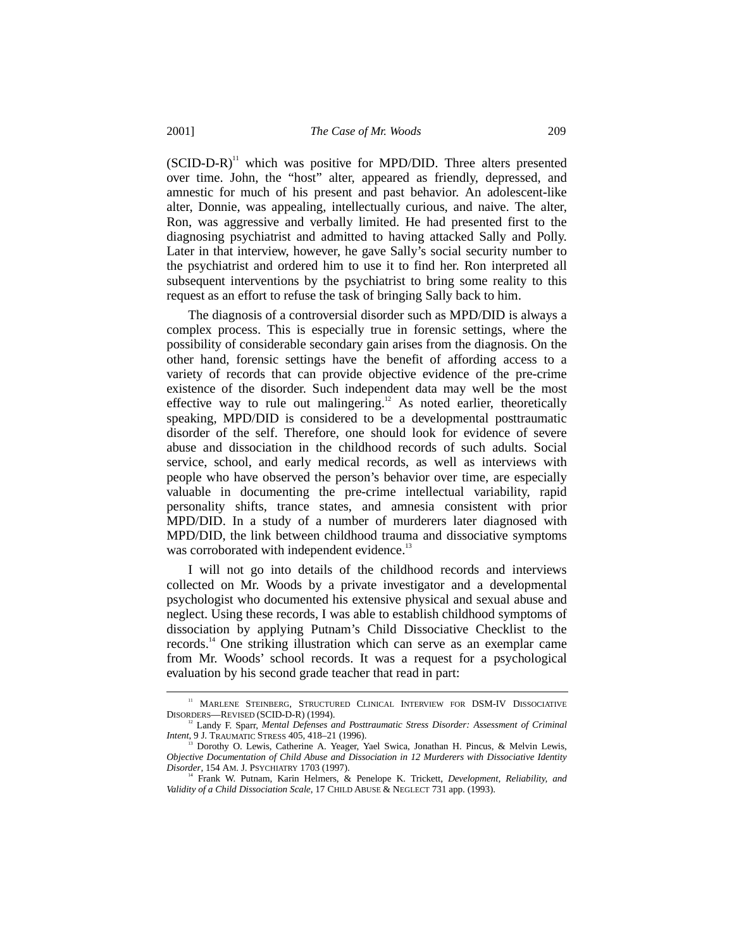$(SCID-D-R)^{11}$  which was positive for MPD/DID. Three alters presented over time. John, the "host" alter, appeared as friendly, depressed, and amnestic for much of his present and past behavior. An adolescent-like alter, Donnie, was appealing, intellectually curious, and naive. The alter, Ron, was aggressive and verbally limited. He had presented first to the diagnosing psychiatrist and admitted to having attacked Sally and Polly. Later in that interview, however, he gave Sally's social security number to the psychiatrist and ordered him to use it to find her. Ron interpreted all subsequent interventions by the psychiatrist to bring some reality to this request as an effort to refuse the task of bringing Sally back to him.

The diagnosis of a controversial disorder such as MPD/DID is always a complex process. This is especially true in forensic settings, where the possibility of considerable secondary gain arises from the diagnosis. On the other hand, forensic settings have the benefit of affording access to a variety of records that can provide objective evidence of the pre-crime existence of the disorder. Such independent data may well be the most effective way to rule out malingering.<sup>12</sup> As noted earlier, theoretically speaking, MPD/DID is considered to be a developmental posttraumatic disorder of the self. Therefore, one should look for evidence of severe abuse and dissociation in the childhood records of such adults. Social service, school, and early medical records, as well as interviews with people who have observed the person's behavior over time, are especially valuable in documenting the pre-crime intellectual variability, rapid personality shifts, trance states, and amnesia consistent with prior MPD/DID. In a study of a number of murderers later diagnosed with MPD/DID, the link between childhood trauma and dissociative symptoms was corroborated with independent evidence.<sup>13</sup>

I will not go into details of the childhood records and interviews collected on Mr. Woods by a private investigator and a developmental psychologist who documented his extensive physical and sexual abuse and neglect. Using these records, I was able to establish childhood symptoms of dissociation by applying Putnam's Child Dissociative Checklist to the records.<sup>14</sup> One striking illustration which can serve as an exemplar came from Mr. Woods' school records. It was a request for a psychological evaluation by his second grade teacher that read in part:

<sup>&</sup>lt;sup>11</sup> MARLENE STEINBERG, STRUCTURED CLINICAL INTERVIEW FOR DSM-IV DISSOCIATIVE DISORDERS––REVISED (SCID-D-R) (1994).

<sup>12</sup> Landy F. Sparr, *Mental Defenses and Posttraumatic Stress Disorder: Assessment of Criminal Intent*, 9 J. TRAUMATIC STRESS 405, 418–21 (1996).<br><sup>13</sup> Dorothy O. Lewis, Catherine A. Yeager, Yael Swica, Jonathan H. Pincus, & Melvin Lewis,

*Objective Documentation of Child Abuse and Dissociation in 12 Murderers with Dissociative Identity Disorder*, 154 AM. J. PSYCHIATRY 1703 (1997).

<sup>&</sup>lt;sup>14</sup> Frank W. Putnam, Karin Helmers, & Penelope K. Trickett, *Development, Reliability, and Validity of a Child Dissociation Scale*, 17 CHILD ABUSE & NEGLECT 731 app. (1993).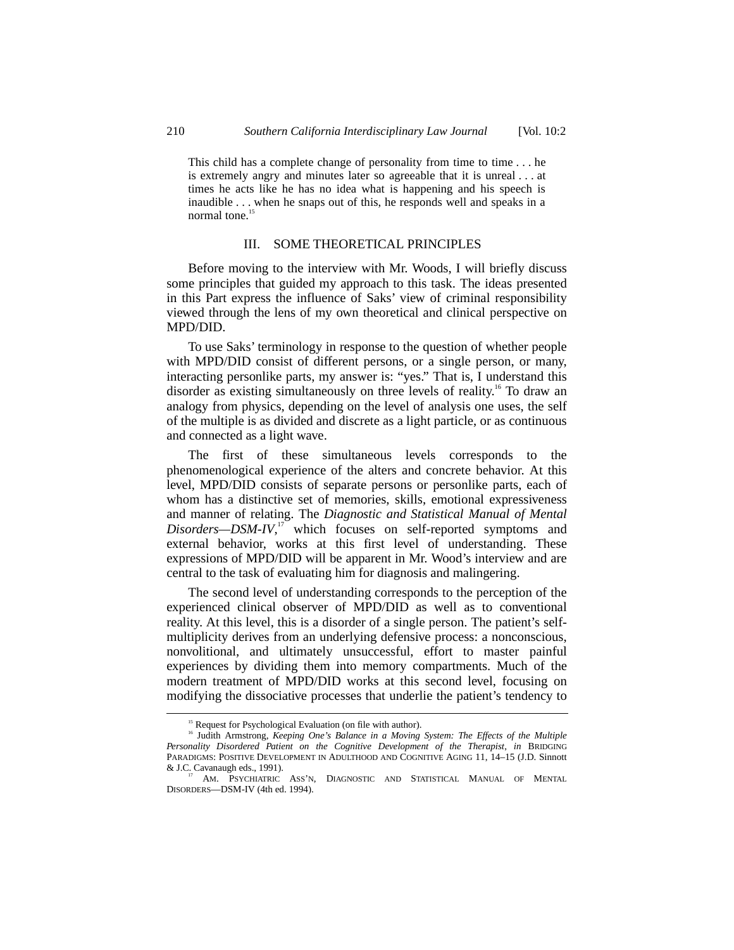This child has a complete change of personality from time to time . . . he is extremely angry and minutes later so agreeable that it is unreal . . . at times he acts like he has no idea what is happening and his speech is inaudible . . . when he snaps out of this, he responds well and speaks in a normal tone.<sup>15</sup>

## III. SOME THEORETICAL PRINCIPLES

Before moving to the interview with Mr. Woods, I will briefly discuss some principles that guided my approach to this task. The ideas presented in this Part express the influence of Saks' view of criminal responsibility viewed through the lens of my own theoretical and clinical perspective on MPD/DID.

To use Saks' terminology in response to the question of whether people with MPD/DID consist of different persons, or a single person, or many, interacting personlike parts, my answer is: "yes." That is, I understand this disorder as existing simultaneously on three levels of reality.<sup>16</sup> To draw an analogy from physics, depending on the level of analysis one uses, the self of the multiple is as divided and discrete as a light particle, or as continuous and connected as a light wave.

The first of these simultaneous levels corresponds to the phenomenological experience of the alters and concrete behavior. At this level, MPD/DID consists of separate persons or personlike parts, each of whom has a distinctive set of memories, skills, emotional expressiveness and manner of relating. The *Diagnostic and Statistical Manual of Mental Disorders—DSM-IV*, 17 which focuses on self-reported symptoms and external behavior, works at this first level of understanding. These expressions of MPD/DID will be apparent in Mr. Wood's interview and are central to the task of evaluating him for diagnosis and malingering.

The second level of understanding corresponds to the perception of the experienced clinical observer of MPD/DID as well as to conventional reality. At this level, this is a disorder of a single person. The patient's selfmultiplicity derives from an underlying defensive process: a nonconscious, nonvolitional, and ultimately unsuccessful, effort to master painful experiences by dividing them into memory compartments. Much of the modern treatment of MPD/DID works at this second level, focusing on modifying the dissociative processes that underlie the patient's tendency to

<sup>&</sup>lt;sup>15</sup> Request for Psychological Evaluation (on file with author).

<sup>&</sup>lt;sup>16</sup> Judith Armstrong, *Keeping One's Balance in a Moving System: The Effects of the Multiple Personality Disordered Patient on the Cognitive Development of the Therapist*, *in* BRIDGING PARADIGMS: POSITIVE DEVELOPMENT IN ADULTHOOD AND COGNITIVE AGING 11, 14–15 (J.D. Sinnott & J.C. Cavanaugh eds., 1991).

AM. PSYCHIATRIC ASS'N, DIAGNOSTIC AND STATISTICAL MANUAL OF MENTAL DISORDERS––DSM-IV (4th ed. 1994).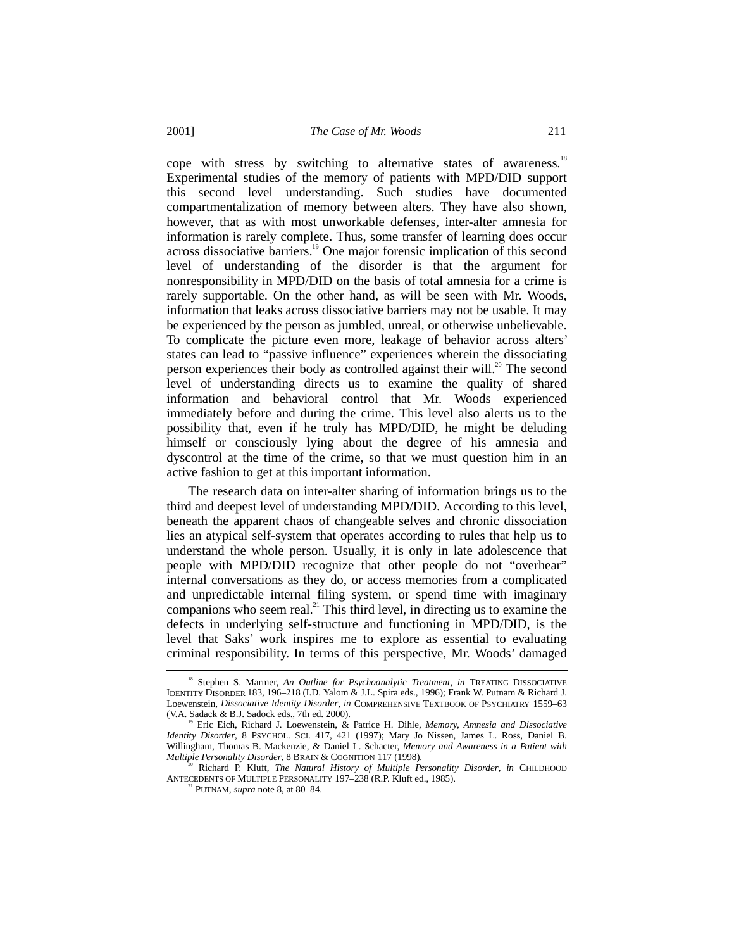2001] *The Case of Mr. Woods* 211

cope with stress by switching to alternative states of awareness.<sup>18</sup> Experimental studies of the memory of patients with MPD/DID support this second level understanding. Such studies have documented compartmentalization of memory between alters. They have also shown, however, that as with most unworkable defenses, inter-alter amnesia for information is rarely complete. Thus, some transfer of learning does occur across dissociative barriers.19 One major forensic implication of this second level of understanding of the disorder is that the argument for nonresponsibility in MPD/DID on the basis of total amnesia for a crime is rarely supportable. On the other hand, as will be seen with Mr. Woods, information that leaks across dissociative barriers may not be usable. It may be experienced by the person as jumbled, unreal, or otherwise unbelievable. To complicate the picture even more, leakage of behavior across alters' states can lead to "passive influence" experiences wherein the dissociating person experiences their body as controlled against their will.<sup>20</sup> The second level of understanding directs us to examine the quality of shared information and behavioral control that Mr. Woods experienced immediately before and during the crime. This level also alerts us to the possibility that, even if he truly has MPD/DID, he might be deluding himself or consciously lying about the degree of his amnesia and dyscontrol at the time of the crime, so that we must question him in an active fashion to get at this important information.

The research data on inter-alter sharing of information brings us to the third and deepest level of understanding MPD/DID. According to this level, beneath the apparent chaos of changeable selves and chronic dissociation lies an atypical self-system that operates according to rules that help us to understand the whole person. Usually, it is only in late adolescence that people with MPD/DID recognize that other people do not "overhear" internal conversations as they do, or access memories from a complicated and unpredictable internal filing system, or spend time with imaginary companions who seem real.<sup>21</sup> This third level, in directing us to examine the defects in underlying self-structure and functioning in MPD/DID, is the level that Saks' work inspires me to explore as essential to evaluating criminal responsibility. In terms of this perspective, Mr. Woods' damaged

<sup>&</sup>lt;sup>18</sup> Stephen S. Marmer, *An Outline for Psychoanalytic Treatment*, *in* TREATING DISSOCIATIVE IDENTITY DISORDER 183, 196–218 (I.D. Yalom & J.L. Spira eds., 1996); Frank W. Putnam & Richard J. Loewenstein, *Dissociative Identity Disorder*, *in* COMPREHENSIVE TEXTBOOK OF PSYCHIATRY 1559–63 (V.A. Sadack & B.J. Sadock eds., 7th ed. 2000).

<sup>19</sup> Eric Eich, Richard J. Loewenstein, & Patrice H. Dihle, *Memory, Amnesia and Dissociative Identity Disorder*, 8 PSYCHOL. SCI. 417, 421 (1997); Mary Jo Nissen, James L. Ross, Daniel B. Willingham, Thomas B. Mackenzie, & Daniel L. Schacter, *Memory and Awareness in a Patient with*

Richard P. Kluft, *The Natural History of Multiple Personality Disorder*, *in* CHILDHOOD ANTECEDENTS OF MULTIPLE PERSONALITY 197–238 (R.P. Kluft ed., 1985). 21 PUTNAM, *supra* note 8, at 80–84.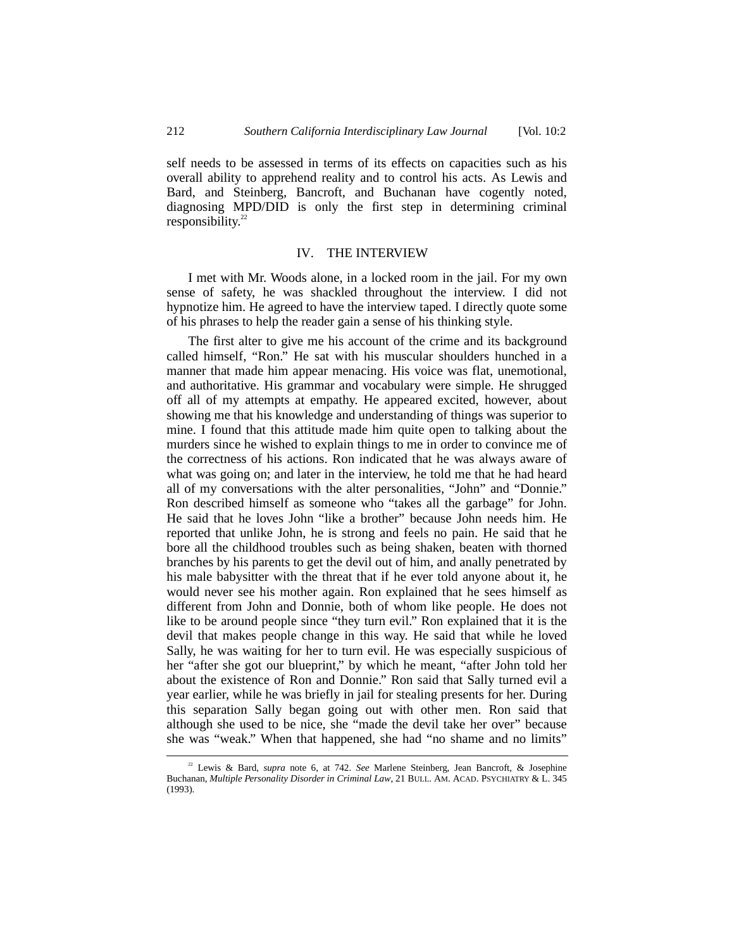self needs to be assessed in terms of its effects on capacities such as his overall ability to apprehend reality and to control his acts. As Lewis and Bard, and Steinberg, Bancroft, and Buchanan have cogently noted, diagnosing MPD/DID is only the first step in determining criminal responsibility. $22$ 

#### IV. THE INTERVIEW

I met with Mr. Woods alone, in a locked room in the jail. For my own sense of safety, he was shackled throughout the interview. I did not hypnotize him. He agreed to have the interview taped. I directly quote some of his phrases to help the reader gain a sense of his thinking style.

The first alter to give me his account of the crime and its background called himself, "Ron." He sat with his muscular shoulders hunched in a manner that made him appear menacing. His voice was flat, unemotional, and authoritative. His grammar and vocabulary were simple. He shrugged off all of my attempts at empathy. He appeared excited, however, about showing me that his knowledge and understanding of things was superior to mine. I found that this attitude made him quite open to talking about the murders since he wished to explain things to me in order to convince me of the correctness of his actions. Ron indicated that he was always aware of what was going on; and later in the interview, he told me that he had heard all of my conversations with the alter personalities, "John" and "Donnie." Ron described himself as someone who "takes all the garbage" for John. He said that he loves John "like a brother" because John needs him. He reported that unlike John, he is strong and feels no pain. He said that he bore all the childhood troubles such as being shaken, beaten with thorned branches by his parents to get the devil out of him, and anally penetrated by his male babysitter with the threat that if he ever told anyone about it, he would never see his mother again. Ron explained that he sees himself as different from John and Donnie, both of whom like people. He does not like to be around people since "they turn evil." Ron explained that it is the devil that makes people change in this way. He said that while he loved Sally, he was waiting for her to turn evil. He was especially suspicious of her "after she got our blueprint," by which he meant, "after John told her about the existence of Ron and Donnie." Ron said that Sally turned evil a year earlier, while he was briefly in jail for stealing presents for her. During this separation Sally began going out with other men. Ron said that although she used to be nice, she "made the devil take her over" because she was "weak." When that happened, she had "no shame and no limits"

 <sup>22</sup> Lewis & Bard, *supra* note 6, at 742. *See* Marlene Steinberg, Jean Bancroft, & Josephine Buchanan, *Multiple Personality Disorder in Criminal Law*, 21 BULL. AM. ACAD. PSYCHIATRY & L. 345 (1993).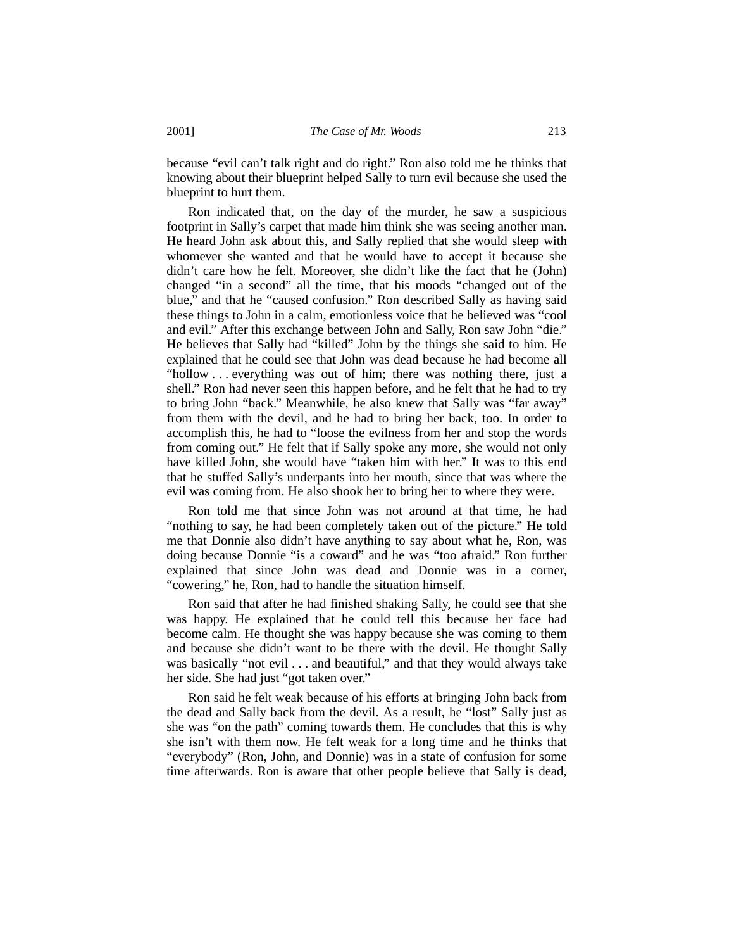because "evil can't talk right and do right." Ron also told me he thinks that knowing about their blueprint helped Sally to turn evil because she used the blueprint to hurt them.

Ron indicated that, on the day of the murder, he saw a suspicious footprint in Sally's carpet that made him think she was seeing another man. He heard John ask about this, and Sally replied that she would sleep with whomever she wanted and that he would have to accept it because she didn't care how he felt. Moreover, she didn't like the fact that he (John) changed "in a second" all the time, that his moods "changed out of the blue," and that he "caused confusion." Ron described Sally as having said these things to John in a calm, emotionless voice that he believed was "cool and evil." After this exchange between John and Sally, Ron saw John "die." He believes that Sally had "killed" John by the things she said to him. He explained that he could see that John was dead because he had become all "hollow . . . everything was out of him; there was nothing there, just a shell." Ron had never seen this happen before, and he felt that he had to try to bring John "back." Meanwhile, he also knew that Sally was "far away" from them with the devil, and he had to bring her back, too. In order to accomplish this, he had to "loose the evilness from her and stop the words from coming out." He felt that if Sally spoke any more, she would not only have killed John, she would have "taken him with her." It was to this end that he stuffed Sally's underpants into her mouth, since that was where the evil was coming from. He also shook her to bring her to where they were.

Ron told me that since John was not around at that time, he had "nothing to say, he had been completely taken out of the picture." He told me that Donnie also didn't have anything to say about what he, Ron, was doing because Donnie "is a coward" and he was "too afraid." Ron further explained that since John was dead and Donnie was in a corner, "cowering," he, Ron, had to handle the situation himself.

Ron said that after he had finished shaking Sally, he could see that she was happy. He explained that he could tell this because her face had become calm. He thought she was happy because she was coming to them and because she didn't want to be there with the devil. He thought Sally was basically "not evil . . . and beautiful," and that they would always take her side. She had just "got taken over."

Ron said he felt weak because of his efforts at bringing John back from the dead and Sally back from the devil. As a result, he "lost" Sally just as she was "on the path" coming towards them. He concludes that this is why she isn't with them now. He felt weak for a long time and he thinks that "everybody" (Ron, John, and Donnie) was in a state of confusion for some time afterwards. Ron is aware that other people believe that Sally is dead,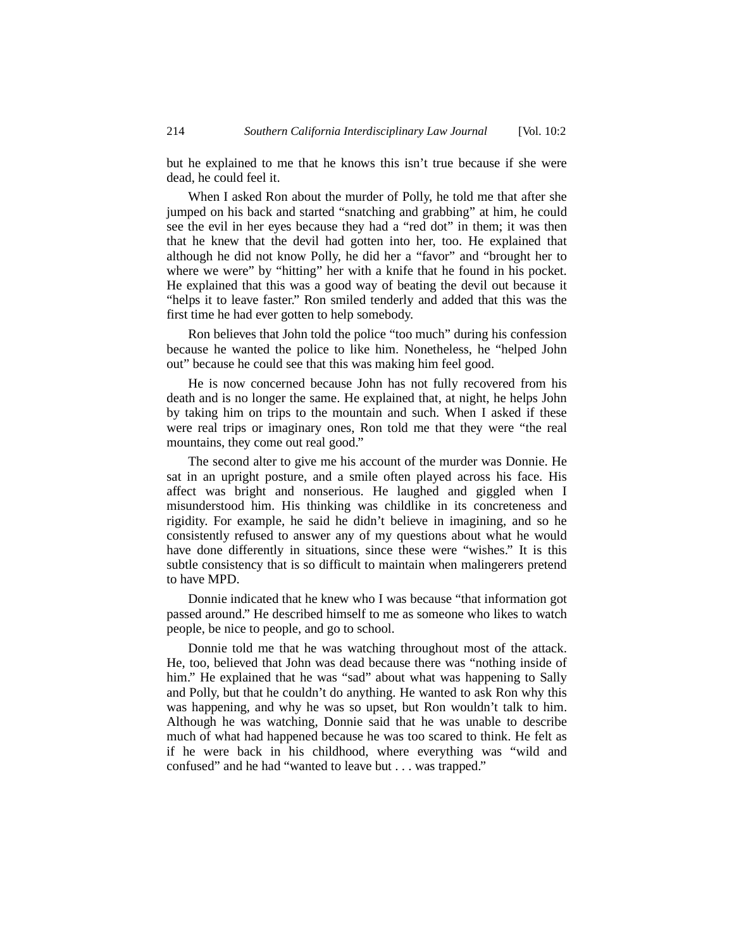but he explained to me that he knows this isn't true because if she were dead, he could feel it.

When I asked Ron about the murder of Polly, he told me that after she jumped on his back and started "snatching and grabbing" at him, he could see the evil in her eyes because they had a "red dot" in them; it was then that he knew that the devil had gotten into her, too. He explained that although he did not know Polly, he did her a "favor" and "brought her to where we were" by "hitting" her with a knife that he found in his pocket. He explained that this was a good way of beating the devil out because it "helps it to leave faster." Ron smiled tenderly and added that this was the first time he had ever gotten to help somebody.

Ron believes that John told the police "too much" during his confession because he wanted the police to like him. Nonetheless, he "helped John out" because he could see that this was making him feel good.

He is now concerned because John has not fully recovered from his death and is no longer the same. He explained that, at night, he helps John by taking him on trips to the mountain and such. When I asked if these were real trips or imaginary ones, Ron told me that they were "the real mountains, they come out real good."

The second alter to give me his account of the murder was Donnie. He sat in an upright posture, and a smile often played across his face. His affect was bright and nonserious. He laughed and giggled when I misunderstood him. His thinking was childlike in its concreteness and rigidity. For example, he said he didn't believe in imagining, and so he consistently refused to answer any of my questions about what he would have done differently in situations, since these were "wishes." It is this subtle consistency that is so difficult to maintain when malingerers pretend to have MPD.

Donnie indicated that he knew who I was because "that information got passed around." He described himself to me as someone who likes to watch people, be nice to people, and go to school.

Donnie told me that he was watching throughout most of the attack. He, too, believed that John was dead because there was "nothing inside of him." He explained that he was "sad" about what was happening to Sally and Polly, but that he couldn't do anything. He wanted to ask Ron why this was happening, and why he was so upset, but Ron wouldn't talk to him. Although he was watching, Donnie said that he was unable to describe much of what had happened because he was too scared to think. He felt as if he were back in his childhood, where everything was "wild and confused" and he had "wanted to leave but . . . was trapped."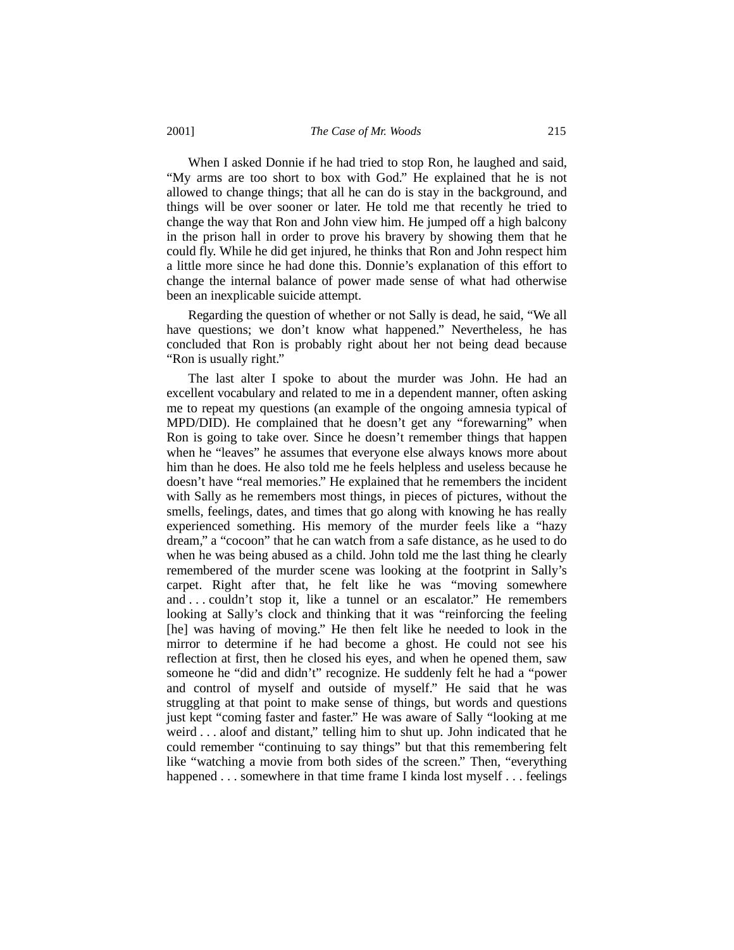#### 2001] *The Case of Mr. Woods* 215

When I asked Donnie if he had tried to stop Ron, he laughed and said, "My arms are too short to box with God." He explained that he is not allowed to change things; that all he can do is stay in the background, and things will be over sooner or later. He told me that recently he tried to change the way that Ron and John view him. He jumped off a high balcony in the prison hall in order to prove his bravery by showing them that he could fly. While he did get injured, he thinks that Ron and John respect him a little more since he had done this. Donnie's explanation of this effort to change the internal balance of power made sense of what had otherwise been an inexplicable suicide attempt.

Regarding the question of whether or not Sally is dead, he said, "We all have questions; we don't know what happened." Nevertheless, he has concluded that Ron is probably right about her not being dead because "Ron is usually right."

The last alter I spoke to about the murder was John. He had an excellent vocabulary and related to me in a dependent manner, often asking me to repeat my questions (an example of the ongoing amnesia typical of MPD/DID). He complained that he doesn't get any "forewarning" when Ron is going to take over. Since he doesn't remember things that happen when he "leaves" he assumes that everyone else always knows more about him than he does. He also told me he feels helpless and useless because he doesn't have "real memories." He explained that he remembers the incident with Sally as he remembers most things, in pieces of pictures, without the smells, feelings, dates, and times that go along with knowing he has really experienced something. His memory of the murder feels like a "hazy dream," a "cocoon" that he can watch from a safe distance, as he used to do when he was being abused as a child. John told me the last thing he clearly remembered of the murder scene was looking at the footprint in Sally's carpet. Right after that, he felt like he was "moving somewhere and . . . couldn't stop it, like a tunnel or an escalator." He remembers looking at Sally's clock and thinking that it was "reinforcing the feeling [he] was having of moving." He then felt like he needed to look in the mirror to determine if he had become a ghost. He could not see his reflection at first, then he closed his eyes, and when he opened them, saw someone he "did and didn't" recognize. He suddenly felt he had a "power and control of myself and outside of myself." He said that he was struggling at that point to make sense of things, but words and questions just kept "coming faster and faster." He was aware of Sally "looking at me weird . . . aloof and distant," telling him to shut up. John indicated that he could remember "continuing to say things" but that this remembering felt like "watching a movie from both sides of the screen." Then, "everything happened . . . somewhere in that time frame I kinda lost myself . . . feelings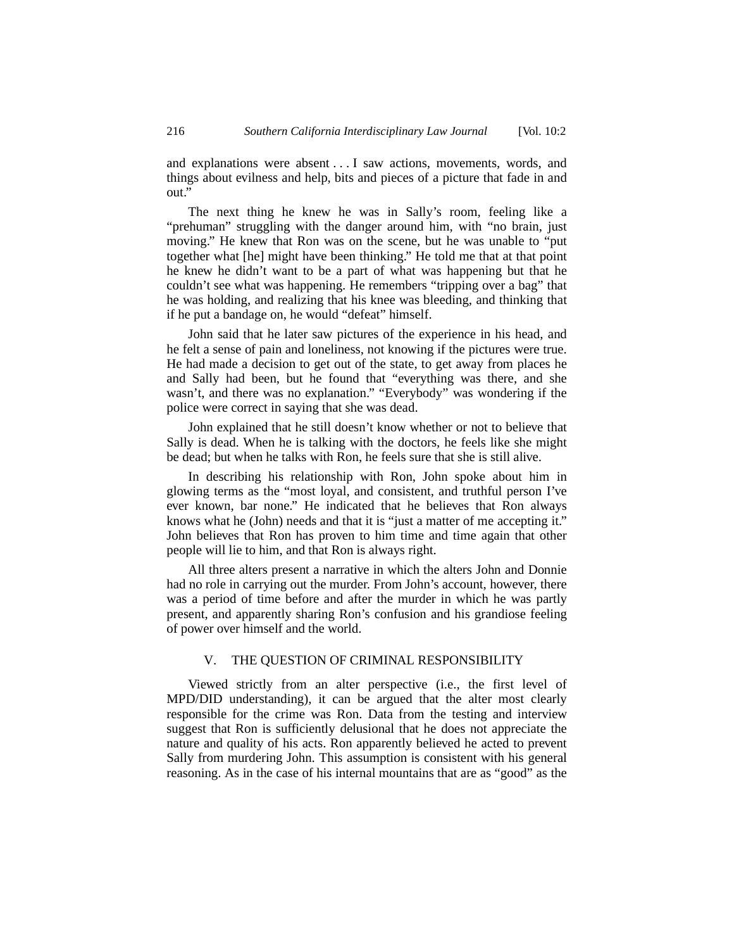and explanations were absent . . . I saw actions, movements, words, and things about evilness and help, bits and pieces of a picture that fade in and out."

The next thing he knew he was in Sally's room, feeling like a "prehuman" struggling with the danger around him, with "no brain, just moving." He knew that Ron was on the scene, but he was unable to "put together what [he] might have been thinking." He told me that at that point he knew he didn't want to be a part of what was happening but that he couldn't see what was happening. He remembers "tripping over a bag" that he was holding, and realizing that his knee was bleeding, and thinking that if he put a bandage on, he would "defeat" himself.

John said that he later saw pictures of the experience in his head, and he felt a sense of pain and loneliness, not knowing if the pictures were true. He had made a decision to get out of the state, to get away from places he and Sally had been, but he found that "everything was there, and she wasn't, and there was no explanation." "Everybody" was wondering if the police were correct in saying that she was dead.

John explained that he still doesn't know whether or not to believe that Sally is dead. When he is talking with the doctors, he feels like she might be dead; but when he talks with Ron, he feels sure that she is still alive.

In describing his relationship with Ron, John spoke about him in glowing terms as the "most loyal, and consistent, and truthful person I've ever known, bar none." He indicated that he believes that Ron always knows what he (John) needs and that it is "just a matter of me accepting it." John believes that Ron has proven to him time and time again that other people will lie to him, and that Ron is always right.

All three alters present a narrative in which the alters John and Donnie had no role in carrying out the murder. From John's account, however, there was a period of time before and after the murder in which he was partly present, and apparently sharing Ron's confusion and his grandiose feeling of power over himself and the world.

#### V. THE QUESTION OF CRIMINAL RESPONSIBILITY

Viewed strictly from an alter perspective (i.e., the first level of MPD/DID understanding), it can be argued that the alter most clearly responsible for the crime was Ron. Data from the testing and interview suggest that Ron is sufficiently delusional that he does not appreciate the nature and quality of his acts. Ron apparently believed he acted to prevent Sally from murdering John. This assumption is consistent with his general reasoning. As in the case of his internal mountains that are as "good" as the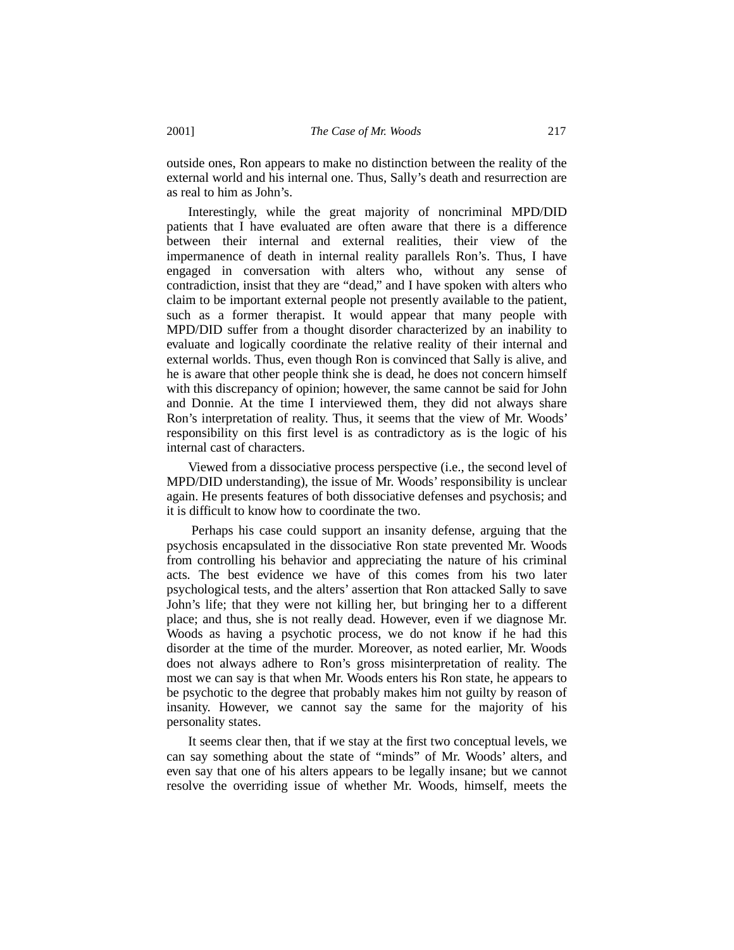outside ones, Ron appears to make no distinction between the reality of the external world and his internal one. Thus, Sally's death and resurrection are as real to him as John's.

Interestingly, while the great majority of noncriminal MPD/DID patients that I have evaluated are often aware that there is a difference between their internal and external realities, their view of the impermanence of death in internal reality parallels Ron's. Thus, I have engaged in conversation with alters who, without any sense of contradiction, insist that they are "dead," and I have spoken with alters who claim to be important external people not presently available to the patient, such as a former therapist. It would appear that many people with MPD/DID suffer from a thought disorder characterized by an inability to evaluate and logically coordinate the relative reality of their internal and external worlds. Thus, even though Ron is convinced that Sally is alive, and he is aware that other people think she is dead, he does not concern himself with this discrepancy of opinion; however, the same cannot be said for John and Donnie. At the time I interviewed them, they did not always share Ron's interpretation of reality. Thus, it seems that the view of Mr. Woods' responsibility on this first level is as contradictory as is the logic of his internal cast of characters.

Viewed from a dissociative process perspective (i.e., the second level of MPD/DID understanding), the issue of Mr. Woods' responsibility is unclear again. He presents features of both dissociative defenses and psychosis; and it is difficult to know how to coordinate the two.

 Perhaps his case could support an insanity defense, arguing that the psychosis encapsulated in the dissociative Ron state prevented Mr. Woods from controlling his behavior and appreciating the nature of his criminal acts. The best evidence we have of this comes from his two later psychological tests, and the alters' assertion that Ron attacked Sally to save John's life; that they were not killing her, but bringing her to a different place; and thus, she is not really dead. However, even if we diagnose Mr. Woods as having a psychotic process, we do not know if he had this disorder at the time of the murder. Moreover, as noted earlier, Mr. Woods does not always adhere to Ron's gross misinterpretation of reality. The most we can say is that when Mr. Woods enters his Ron state, he appears to be psychotic to the degree that probably makes him not guilty by reason of insanity. However, we cannot say the same for the majority of his personality states.

It seems clear then, that if we stay at the first two conceptual levels, we can say something about the state of "minds" of Mr. Woods' alters, and even say that one of his alters appears to be legally insane; but we cannot resolve the overriding issue of whether Mr. Woods, himself, meets the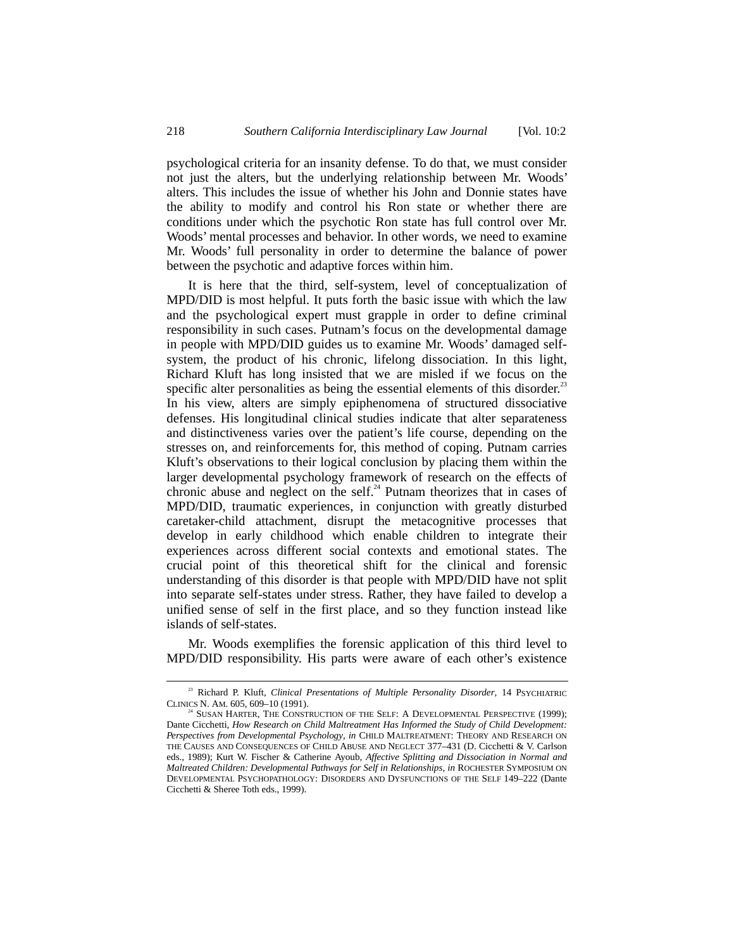psychological criteria for an insanity defense. To do that, we must consider not just the alters, but the underlying relationship between Mr. Woods' alters. This includes the issue of whether his John and Donnie states have the ability to modify and control his Ron state or whether there are conditions under which the psychotic Ron state has full control over Mr. Woods' mental processes and behavior. In other words, we need to examine Mr. Woods' full personality in order to determine the balance of power between the psychotic and adaptive forces within him.

It is here that the third, self-system, level of conceptualization of MPD/DID is most helpful. It puts forth the basic issue with which the law and the psychological expert must grapple in order to define criminal responsibility in such cases. Putnam's focus on the developmental damage in people with MPD/DID guides us to examine Mr. Woods' damaged selfsystem, the product of his chronic, lifelong dissociation. In this light, Richard Kluft has long insisted that we are misled if we focus on the specific alter personalities as being the essential elements of this disorder.<sup>23</sup> In his view, alters are simply epiphenomena of structured dissociative defenses. His longitudinal clinical studies indicate that alter separateness and distinctiveness varies over the patient's life course, depending on the stresses on, and reinforcements for, this method of coping. Putnam carries Kluft's observations to their logical conclusion by placing them within the larger developmental psychology framework of research on the effects of chronic abuse and neglect on the self. $^{24}$  Putnam theorizes that in cases of MPD/DID, traumatic experiences, in conjunction with greatly disturbed caretaker-child attachment, disrupt the metacognitive processes that develop in early childhood which enable children to integrate their experiences across different social contexts and emotional states. The crucial point of this theoretical shift for the clinical and forensic understanding of this disorder is that people with MPD/DID have not split into separate self-states under stress. Rather, they have failed to develop a unified sense of self in the first place, and so they function instead like islands of self-states.

Mr. Woods exemplifies the forensic application of this third level to MPD/DID responsibility. His parts were aware of each other's existence

<sup>&</sup>lt;sup>23</sup> Richard P. Kluft, *Clinical Presentations of Multiple Personality Disorder*, 14 PSYCHIATRIC CLINICS N. AM. 605, 609–10 (1991).

SUSAN HARTER, THE CONSTRUCTION OF THE SELF: A DEVELOPMENTAL PERSPECTIVE (1999); Dante Cicchetti, *How Research on Child Maltreatment Has Informed the Study of Child Development: Perspectives from Developmental Psychology*, *in* CHILD MALTREATMENT: THEORY AND RESEARCH ON THE CAUSES AND CONSEQUENCES OF CHILD ABUSE AND NEGLECT 377–431 (D. Cicchetti & V. Carlson eds., 1989); Kurt W. Fischer & Catherine Ayoub, *Affective Splitting and Dissociation in Normal and Maltreated Children: Developmental Pathways for Self in Relationships*, *in* ROCHESTER SYMPOSIUM ON DEVELOPMENTAL PSYCHOPATHOLOGY: DISORDERS AND DYSFUNCTIONS OF THE SELF 149–222 (Dante Cicchetti & Sheree Toth eds., 1999).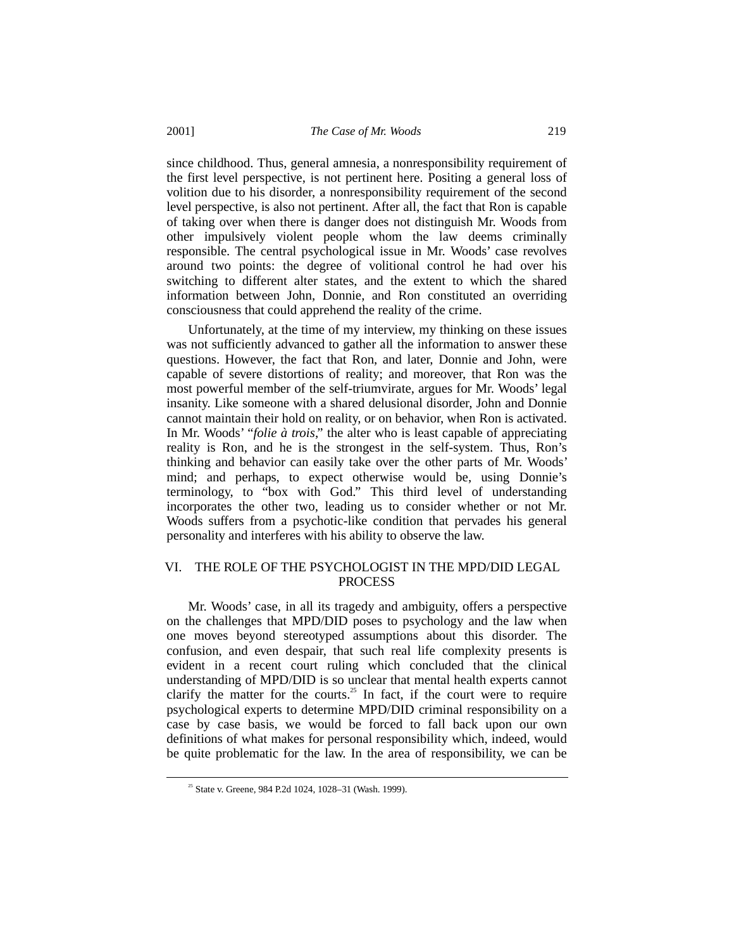since childhood. Thus, general amnesia, a nonresponsibility requirement of the first level perspective, is not pertinent here. Positing a general loss of volition due to his disorder, a nonresponsibility requirement of the second level perspective, is also not pertinent. After all, the fact that Ron is capable of taking over when there is danger does not distinguish Mr. Woods from other impulsively violent people whom the law deems criminally responsible. The central psychological issue in Mr. Woods' case revolves around two points: the degree of volitional control he had over his switching to different alter states, and the extent to which the shared information between John, Donnie, and Ron constituted an overriding consciousness that could apprehend the reality of the crime.

Unfortunately, at the time of my interview, my thinking on these issues was not sufficiently advanced to gather all the information to answer these questions. However, the fact that Ron, and later, Donnie and John, were capable of severe distortions of reality; and moreover, that Ron was the most powerful member of the self-triumvirate, argues for Mr. Woods' legal insanity. Like someone with a shared delusional disorder, John and Donnie cannot maintain their hold on reality, or on behavior, when Ron is activated. In Mr. Woods' "*folie à trois*," the alter who is least capable of appreciating reality is Ron, and he is the strongest in the self-system. Thus, Ron's thinking and behavior can easily take over the other parts of Mr. Woods' mind; and perhaps, to expect otherwise would be, using Donnie's terminology, to "box with God." This third level of understanding incorporates the other two, leading us to consider whether or not Mr. Woods suffers from a psychotic-like condition that pervades his general personality and interferes with his ability to observe the law.

# VI. THE ROLE OF THE PSYCHOLOGIST IN THE MPD/DID LEGAL PROCESS

Mr. Woods' case, in all its tragedy and ambiguity, offers a perspective on the challenges that MPD/DID poses to psychology and the law when one moves beyond stereotyped assumptions about this disorder. The confusion, and even despair, that such real life complexity presents is evident in a recent court ruling which concluded that the clinical understanding of MPD/DID is so unclear that mental health experts cannot clarify the matter for the courts.<sup>25</sup> In fact, if the court were to require psychological experts to determine MPD/DID criminal responsibility on a case by case basis, we would be forced to fall back upon our own definitions of what makes for personal responsibility which, indeed, would be quite problematic for the law. In the area of responsibility, we can be

 $25$  State v. Greene, 984 P.2d 1024, 1028–31 (Wash, 1999).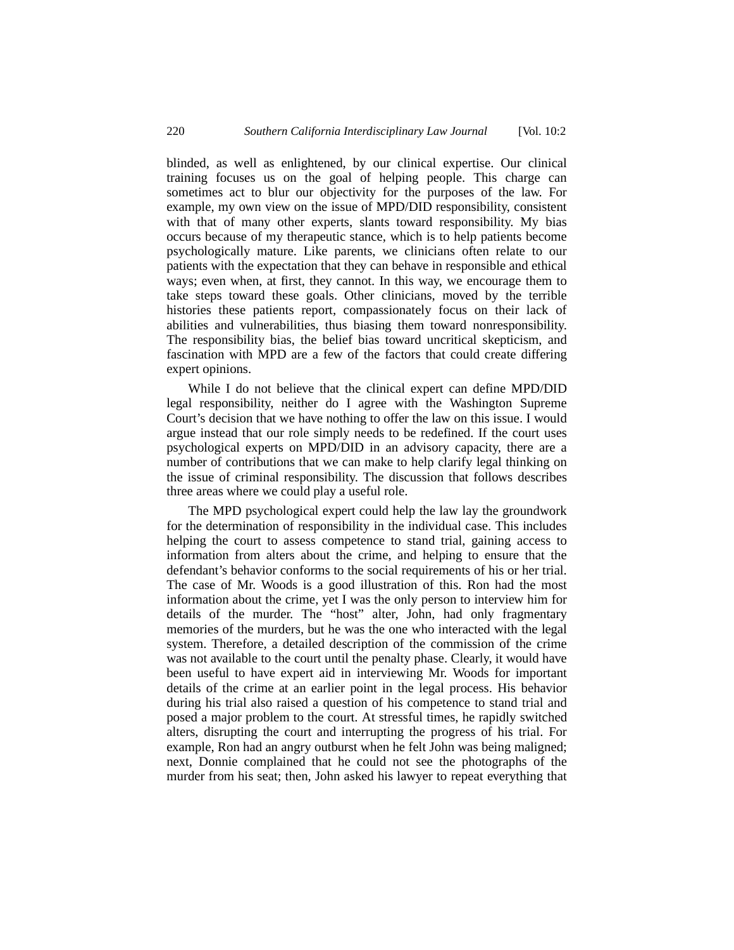blinded, as well as enlightened, by our clinical expertise. Our clinical training focuses us on the goal of helping people. This charge can sometimes act to blur our objectivity for the purposes of the law. For example, my own view on the issue of MPD/DID responsibility, consistent with that of many other experts, slants toward responsibility. My bias occurs because of my therapeutic stance, which is to help patients become psychologically mature. Like parents, we clinicians often relate to our patients with the expectation that they can behave in responsible and ethical ways; even when, at first, they cannot. In this way, we encourage them to take steps toward these goals. Other clinicians, moved by the terrible histories these patients report, compassionately focus on their lack of abilities and vulnerabilities, thus biasing them toward nonresponsibility. The responsibility bias, the belief bias toward uncritical skepticism, and fascination with MPD are a few of the factors that could create differing expert opinions.

While I do not believe that the clinical expert can define MPD/DID legal responsibility, neither do I agree with the Washington Supreme Court's decision that we have nothing to offer the law on this issue. I would argue instead that our role simply needs to be redefined. If the court uses psychological experts on MPD/DID in an advisory capacity, there are a number of contributions that we can make to help clarify legal thinking on the issue of criminal responsibility. The discussion that follows describes three areas where we could play a useful role.

The MPD psychological expert could help the law lay the groundwork for the determination of responsibility in the individual case. This includes helping the court to assess competence to stand trial, gaining access to information from alters about the crime, and helping to ensure that the defendant's behavior conforms to the social requirements of his or her trial. The case of Mr. Woods is a good illustration of this. Ron had the most information about the crime, yet I was the only person to interview him for details of the murder. The "host" alter, John, had only fragmentary memories of the murders, but he was the one who interacted with the legal system. Therefore, a detailed description of the commission of the crime was not available to the court until the penalty phase. Clearly, it would have been useful to have expert aid in interviewing Mr. Woods for important details of the crime at an earlier point in the legal process. His behavior during his trial also raised a question of his competence to stand trial and posed a major problem to the court. At stressful times, he rapidly switched alters, disrupting the court and interrupting the progress of his trial. For example, Ron had an angry outburst when he felt John was being maligned; next, Donnie complained that he could not see the photographs of the murder from his seat; then, John asked his lawyer to repeat everything that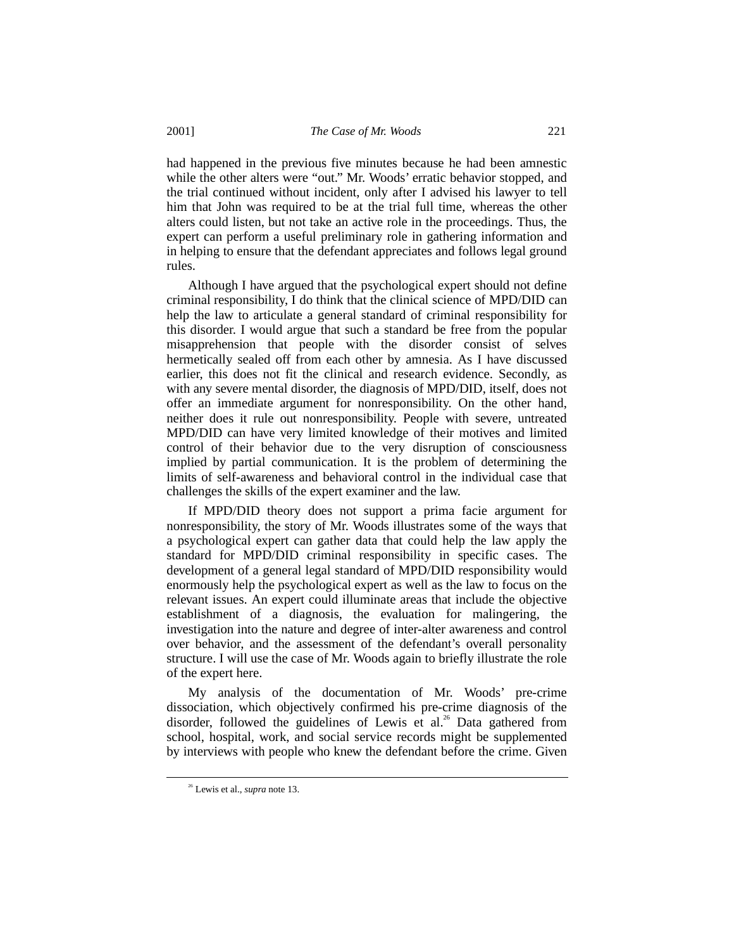had happened in the previous five minutes because he had been amnestic while the other alters were "out." Mr. Woods' erratic behavior stopped, and the trial continued without incident, only after I advised his lawyer to tell him that John was required to be at the trial full time, whereas the other alters could listen, but not take an active role in the proceedings. Thus, the expert can perform a useful preliminary role in gathering information and in helping to ensure that the defendant appreciates and follows legal ground rules.

Although I have argued that the psychological expert should not define criminal responsibility, I do think that the clinical science of MPD/DID can help the law to articulate a general standard of criminal responsibility for this disorder. I would argue that such a standard be free from the popular misapprehension that people with the disorder consist of selves hermetically sealed off from each other by amnesia. As I have discussed earlier, this does not fit the clinical and research evidence. Secondly, as with any severe mental disorder, the diagnosis of MPD/DID, itself, does not offer an immediate argument for nonresponsibility. On the other hand, neither does it rule out nonresponsibility. People with severe, untreated MPD/DID can have very limited knowledge of their motives and limited control of their behavior due to the very disruption of consciousness implied by partial communication. It is the problem of determining the limits of self-awareness and behavioral control in the individual case that challenges the skills of the expert examiner and the law.

If MPD/DID theory does not support a prima facie argument for nonresponsibility, the story of Mr. Woods illustrates some of the ways that a psychological expert can gather data that could help the law apply the standard for MPD/DID criminal responsibility in specific cases. The development of a general legal standard of MPD/DID responsibility would enormously help the psychological expert as well as the law to focus on the relevant issues. An expert could illuminate areas that include the objective establishment of a diagnosis, the evaluation for malingering, the investigation into the nature and degree of inter-alter awareness and control over behavior, and the assessment of the defendant's overall personality structure. I will use the case of Mr. Woods again to briefly illustrate the role of the expert here.

My analysis of the documentation of Mr. Woods' pre-crime dissociation, which objectively confirmed his pre-crime diagnosis of the disorder, followed the guidelines of Lewis et al.<sup>26</sup> Data gathered from school, hospital, work, and social service records might be supplemented by interviews with people who knew the defendant before the crime. Given

 <sup>26</sup> Lewis et al., *supra* note 13.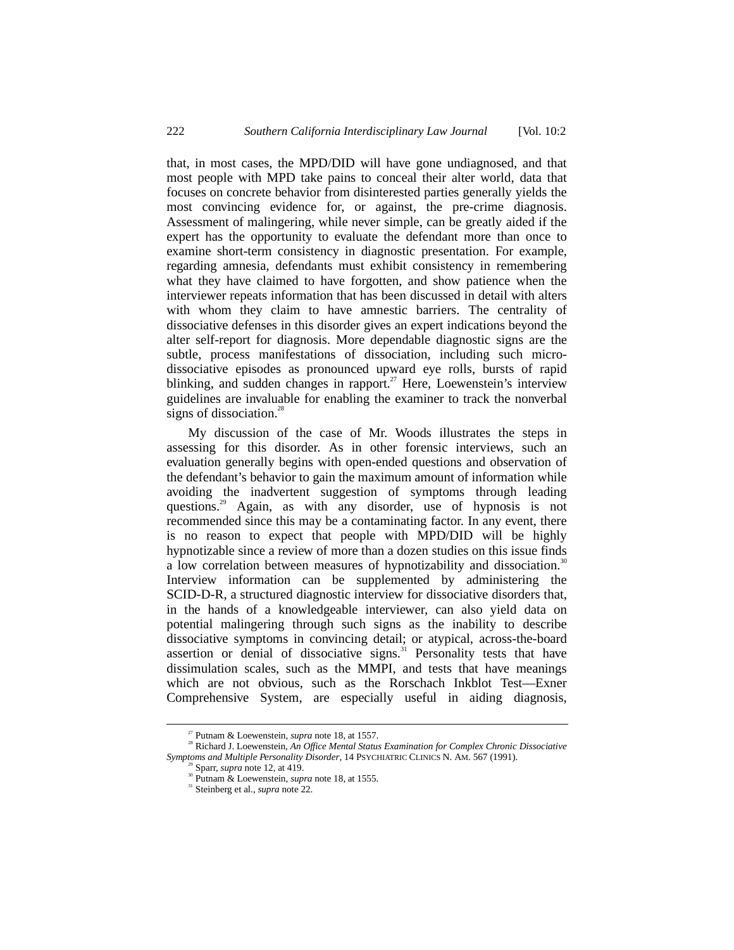that, in most cases, the MPD/DID will have gone undiagnosed, and that most people with MPD take pains to conceal their alter world, data that focuses on concrete behavior from disinterested parties generally yields the most convincing evidence for, or against, the pre-crime diagnosis. Assessment of malingering, while never simple, can be greatly aided if the expert has the opportunity to evaluate the defendant more than once to examine short-term consistency in diagnostic presentation. For example, regarding amnesia, defendants must exhibit consistency in remembering what they have claimed to have forgotten, and show patience when the interviewer repeats information that has been discussed in detail with alters with whom they claim to have amnestic barriers. The centrality of dissociative defenses in this disorder gives an expert indications beyond the alter self-report for diagnosis. More dependable diagnostic signs are the subtle, process manifestations of dissociation, including such microdissociative episodes as pronounced upward eye rolls, bursts of rapid blinking, and sudden changes in rapport.<sup>27</sup> Here, Loewenstein's interview guidelines are invaluable for enabling the examiner to track the nonverbal signs of dissociation. $28$ 

My discussion of the case of Mr. Woods illustrates the steps in assessing for this disorder. As in other forensic interviews, such an evaluation generally begins with open-ended questions and observation of the defendant's behavior to gain the maximum amount of information while avoiding the inadvertent suggestion of symptoms through leading questions.<sup>29</sup> Again, as with any disorder, use of hypnosis is not recommended since this may be a contaminating factor. In any event, there is no reason to expect that people with MPD/DID will be highly hypnotizable since a review of more than a dozen studies on this issue finds a low correlation between measures of hypnotizability and dissociation.<sup>30</sup> Interview information can be supplemented by administering the SCID-D-R, a structured diagnostic interview for dissociative disorders that, in the hands of a knowledgeable interviewer, can also yield data on potential malingering through such signs as the inability to describe dissociative symptoms in convincing detail; or atypical, across-the-board assertion or denial of dissociative signs.<sup>31</sup> Personality tests that have dissimulation scales, such as the MMPI, and tests that have meanings which are not obvious, such as the Rorschach Inkblot Test––Exner Comprehensive System, are especially useful in aiding diagnosis,

<sup>&</sup>lt;sup>27</sup> Putnam & Loewenstein, *supra* note 18, at 1557.<br><sup>28</sup> Richard J. Loewenstein, *An Office Mental Status Examination for Complex Chronic Dissociative Symptoms and Multiple Personality Disorder*, 14 PSYCHIATRIC CLINICS N. AM. 567 (1991).<br><sup>29</sup> Sparr, *supra* note 12, at 419.<br><sup>30</sup> Putnam & Loewenstein, *supra* note 18, at 1555.

<sup>&</sup>lt;sup>31</sup> Steinberg et al., *supra* note 22.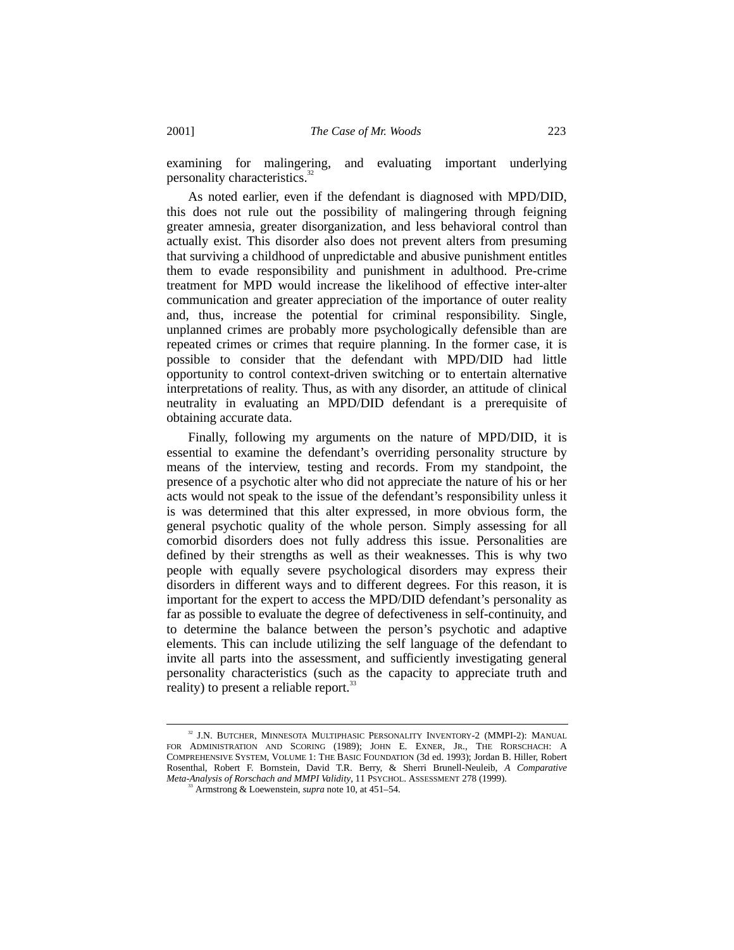examining for malingering, and evaluating important underlying personality characteristics.<sup>32</sup>

As noted earlier, even if the defendant is diagnosed with MPD/DID, this does not rule out the possibility of malingering through feigning greater amnesia, greater disorganization, and less behavioral control than actually exist. This disorder also does not prevent alters from presuming that surviving a childhood of unpredictable and abusive punishment entitles them to evade responsibility and punishment in adulthood. Pre-crime treatment for MPD would increase the likelihood of effective inter-alter communication and greater appreciation of the importance of outer reality and, thus, increase the potential for criminal responsibility. Single, unplanned crimes are probably more psychologically defensible than are repeated crimes or crimes that require planning. In the former case, it is possible to consider that the defendant with MPD/DID had little opportunity to control context-driven switching or to entertain alternative interpretations of reality. Thus, as with any disorder, an attitude of clinical neutrality in evaluating an MPD/DID defendant is a prerequisite of obtaining accurate data.

Finally, following my arguments on the nature of MPD/DID, it is essential to examine the defendant's overriding personality structure by means of the interview, testing and records. From my standpoint, the presence of a psychotic alter who did not appreciate the nature of his or her acts would not speak to the issue of the defendant's responsibility unless it is was determined that this alter expressed, in more obvious form, the general psychotic quality of the whole person. Simply assessing for all comorbid disorders does not fully address this issue. Personalities are defined by their strengths as well as their weaknesses. This is why two people with equally severe psychological disorders may express their disorders in different ways and to different degrees. For this reason, it is important for the expert to access the MPD/DID defendant's personality as far as possible to evaluate the degree of defectiveness in self-continuity, and to determine the balance between the person's psychotic and adaptive elements. This can include utilizing the self language of the defendant to invite all parts into the assessment, and sufficiently investigating general personality characteristics (such as the capacity to appreciate truth and reality) to present a reliable report.<sup>33</sup>

<sup>&</sup>lt;sup>32</sup> J.N. BUTCHER, MINNESOTA MULTIPHASIC PERSONALITY INVENTORY-2 (MMPI-2): MANUAL FOR ADMINISTRATION AND SCORING (1989); JOHN E. EXNER, JR., THE RORSCHACH: A COMPREHENSIVE SYSTEM, VOLUME 1: THE BASIC FOUNDATION (3d ed. 1993); Jordan B. Hiller, Robert Rosenthal, Robert F. Bornstein, David T.R. Berry, & Sherri Brunell-Neuleib, *A Comparative Meta-Analysis of Rorschach and MMPI Validity*, 11 PSYCHOL. ASSESSMENT 278 (1999). <sup>33</sup> Armstrong & Loewenstein, *supra* note 10, at 451–54.